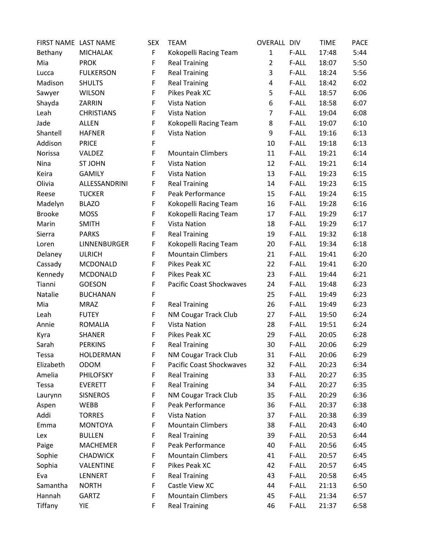| FIRST NAME LAST NAME |                   | <b>SEX</b> | <b>TEAM</b>                     | <b>OVERALL DIV</b> |       | <b>TIME</b> | <b>PACE</b> |
|----------------------|-------------------|------------|---------------------------------|--------------------|-------|-------------|-------------|
| Bethany              | <b>MICHALAK</b>   | F          | Kokopelli Racing Team           | $\mathbf{1}$       | F-ALL | 17:48       | 5:44        |
| Mia                  | <b>PROK</b>       | F          | <b>Real Training</b>            | $\overline{2}$     | F-ALL | 18:07       | 5:50        |
| Lucca                | <b>FULKERSON</b>  | F          | <b>Real Training</b>            | 3                  | F-ALL | 18:24       | 5:56        |
| Madison              | <b>SHULTS</b>     | F          | <b>Real Training</b>            | 4                  | F-ALL | 18:42       | 6:02        |
| Sawyer               | <b>WILSON</b>     | F          | Pikes Peak XC                   | 5                  | F-ALL | 18:57       | 6:06        |
| Shayda               | ZARRIN            | F          | <b>Vista Nation</b>             | 6                  | F-ALL | 18:58       | 6:07        |
| Leah                 | <b>CHRISTIANS</b> | F          | Vista Nation                    | 7                  | F-ALL | 19:04       | 6:08        |
| Jade                 | <b>ALLEN</b>      | F          | Kokopelli Racing Team           | 8                  | F-ALL | 19:07       | 6:10        |
| Shantell             | <b>HAFNER</b>     | F          | Vista Nation                    | 9                  | F-ALL | 19:16       | 6:13        |
| Addison              | <b>PRICE</b>      | F          |                                 | 10                 | F-ALL | 19:18       | 6:13        |
| Norissa              | VALDEZ            | F          | <b>Mountain Climbers</b>        | 11                 | F-ALL | 19:21       | 6:14        |
| Nina                 | <b>ST JOHN</b>    | F          | Vista Nation                    | 12                 | F-ALL | 19:21       | 6:14        |
| Keira                | <b>GAMILY</b>     | F          | Vista Nation                    | 13                 | F-ALL | 19:23       | 6:15        |
| Olivia               | ALLESSANDRINI     | F          | <b>Real Training</b>            | 14                 | F-ALL | 19:23       | 6:15        |
| Reese                | <b>TUCKER</b>     | F          | Peak Performance                | 15                 | F-ALL | 19:24       | 6:15        |
| Madelyn              | <b>BLAZO</b>      | F          | Kokopelli Racing Team           | 16                 | F-ALL | 19:28       | 6:16        |
| <b>Brooke</b>        | <b>MOSS</b>       | F          | Kokopelli Racing Team           | 17                 | F-ALL | 19:29       | 6:17        |
| Marin                | <b>SMITH</b>      | F          | Vista Nation                    | 18                 | F-ALL | 19:29       | 6:17        |
| Sierra               | <b>PARKS</b>      | F          | <b>Real Training</b>            | 19                 | F-ALL | 19:32       | 6:18        |
| Loren                | LINNENBURGER      | F          | Kokopelli Racing Team           | 20                 | F-ALL | 19:34       | 6:18        |
| Delaney              | <b>ULRICH</b>     | F          | <b>Mountain Climbers</b>        | 21                 | F-ALL | 19:41       | 6:20        |
| Cassady              | MCDONALD          | F          | Pikes Peak XC                   | 22                 | F-ALL | 19:41       | 6:20        |
| Kennedy              | MCDONALD          | F          | Pikes Peak XC                   | 23                 | F-ALL | 19:44       | 6:21        |
| Tianni               | <b>GOESON</b>     | F          | Pacific Coast Shockwaves        | 24                 | F-ALL | 19:48       | 6:23        |
| Natalie              | <b>BUCHANAN</b>   | F          |                                 | 25                 | F-ALL | 19:49       | 6:23        |
| Mia                  | <b>MRAZ</b>       | F          | <b>Real Training</b>            | 26                 | F-ALL | 19:49       | 6:23        |
| Leah                 | <b>FUTEY</b>      | F          | <b>NM Cougar Track Club</b>     | 27                 | F-ALL | 19:50       | 6:24        |
| Annie                | <b>ROMALIA</b>    | F          | <b>Vista Nation</b>             | 28                 | F-ALL | 19:51       | 6:24        |
| Kyra                 | <b>SHANER</b>     | F          | Pikes Peak XC                   | 29                 | F-ALL | 20:05       | 6:28        |
| Sarah                | <b>PERKINS</b>    | F          | <b>Real Training</b>            | 30                 | F-ALL | 20:06       | 6:29        |
| Tessa                | <b>HOLDERMAN</b>  | F          | NM Cougar Track Club            | 31                 | F-ALL | 20:06       | 6:29        |
| Elizabeth            | ODOM              | F          | <b>Pacific Coast Shockwaves</b> | 32                 | F-ALL | 20:23       | 6:34        |
| Amelia               | <b>PHILOFSKY</b>  | F          | <b>Real Training</b>            | 33                 | F-ALL | 20:27       | 6:35        |
| Tessa                | <b>EVERETT</b>    | F          | <b>Real Training</b>            | 34                 | F-ALL | 20:27       | 6:35        |
| Laurynn              | <b>SISNEROS</b>   | F          | <b>NM Cougar Track Club</b>     | 35                 | F-ALL | 20:29       | 6:36        |
| Aspen                | WEBB              | F          | Peak Performance                | 36                 | F-ALL | 20:37       | 6:38        |
| Addi                 | <b>TORRES</b>     | F          | <b>Vista Nation</b>             | 37                 | F-ALL | 20:38       | 6:39        |
| Emma                 | <b>MONTOYA</b>    | F          | <b>Mountain Climbers</b>        | 38                 | F-ALL | 20:43       | 6:40        |
| Lex                  | <b>BULLEN</b>     | F          | <b>Real Training</b>            | 39                 | F-ALL | 20:53       | 6:44        |
| Paige                | <b>MACHEMER</b>   | F          | Peak Performance                | 40                 | F-ALL | 20:56       | 6:45        |
| Sophie               | <b>CHADWICK</b>   | F          | <b>Mountain Climbers</b>        | 41                 | F-ALL | 20:57       | 6:45        |
| Sophia               | VALENTINE         | F          | Pikes Peak XC                   | 42                 | F-ALL | 20:57       | 6:45        |
| Eva                  | LENNERT           | F          | <b>Real Training</b>            | 43                 | F-ALL | 20:58       | 6:45        |
| Samantha             | <b>NORTH</b>      | F          | Castle View XC                  | 44                 | F-ALL | 21:13       | 6:50        |
| Hannah               | <b>GARTZ</b>      | F          | <b>Mountain Climbers</b>        | 45                 | F-ALL | 21:34       | 6:57        |
| Tiffany              | YIE               | F          | <b>Real Training</b>            | 46                 | F-ALL | 21:37       | 6:58        |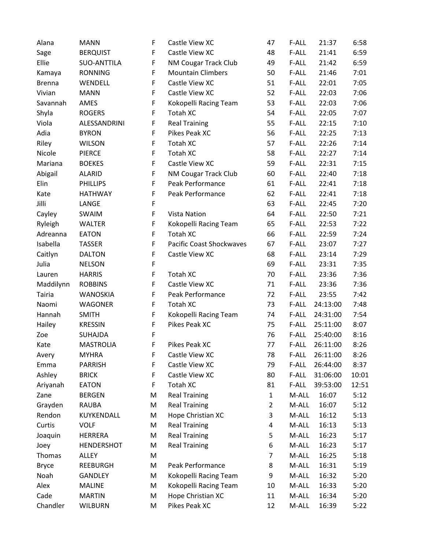| Alana         | <b>MANN</b>       | F           | Castle View XC                  | 47             | F-ALL | 21:37    | 6:58  |
|---------------|-------------------|-------------|---------------------------------|----------------|-------|----------|-------|
| Sage          | <b>BERQUIST</b>   | F           | Castle View XC                  | 48             | F-ALL | 21:41    | 6:59  |
| Ellie         | SUO-ANTTILA       | F           | <b>NM Cougar Track Club</b>     | 49             | F-ALL | 21:42    | 6:59  |
| Kamaya        | <b>RONNING</b>    | F           | <b>Mountain Climbers</b>        | 50             | F-ALL | 21:46    | 7:01  |
| <b>Brenna</b> | WENDELL           | F           | Castle View XC                  | 51             | F-ALL | 22:01    | 7:05  |
| Vivian        | <b>MANN</b>       | F           | Castle View XC                  | 52             | F-ALL | 22:03    | 7:06  |
| Savannah      | AMES              | F           | Kokopelli Racing Team           | 53             | F-ALL | 22:03    | 7:06  |
| Shyla         | <b>ROGERS</b>     | F           | <b>Totah XC</b>                 | 54             | F-ALL | 22:05    | 7:07  |
| Viola         | ALESSANDRINI      | F           | <b>Real Training</b>            | 55             | F-ALL | 22:15    | 7:10  |
| Adia          | <b>BYRON</b>      | $\mathsf F$ | Pikes Peak XC                   | 56             | F-ALL | 22:25    | 7:13  |
| Riley         | <b>WILSON</b>     | F           | Totah XC                        | 57             | F-ALL | 22:26    | 7:14  |
| Nicole        | <b>PIERCE</b>     | F           | Totah XC                        | 58             | F-ALL | 22:27    | 7:14  |
| Mariana       | <b>BOEKES</b>     | F           | Castle View XC                  | 59             | F-ALL | 22:31    | 7:15  |
| Abigail       | <b>ALARID</b>     | F           | <b>NM Cougar Track Club</b>     | 60             | F-ALL | 22:40    | 7:18  |
| Elin          | <b>PHILLIPS</b>   | F           | Peak Performance                | 61             | F-ALL | 22:41    | 7:18  |
| Kate          | <b>HATHWAY</b>    | F           | Peak Performance                | 62             | F-ALL | 22:41    | 7:18  |
| Jilli         | LANGE             | F           |                                 | 63             | F-ALL | 22:45    | 7:20  |
| Cayley        | SWAIM             | F           | <b>Vista Nation</b>             | 64             | F-ALL | 22:50    | 7:21  |
| Ryleigh       | <b>WALTER</b>     | F           | Kokopelli Racing Team           | 65             | F-ALL | 22:53    | 7:22  |
| Adreanna      | <b>EATON</b>      | F           | Totah XC                        | 66             | F-ALL | 22:59    | 7:24  |
| Isabella      | <b>TASSER</b>     | F           | <b>Pacific Coast Shockwaves</b> | 67             | F-ALL | 23:07    | 7:27  |
| Caitlyn       | <b>DALTON</b>     | F           | Castle View XC                  | 68             | F-ALL | 23:14    | 7:29  |
| Julia         | <b>NELSON</b>     | F           |                                 | 69             | F-ALL | 23:31    | 7:35  |
| Lauren        | <b>HARRIS</b>     | F           | Totah XC                        | 70             | F-ALL | 23:36    | 7:36  |
| Maddilynn     | <b>ROBBINS</b>    | F           | Castle View XC                  | 71             | F-ALL | 23:36    | 7:36  |
| <b>Tairia</b> | <b>WANOSKIA</b>   | F           | Peak Performance                | 72             | F-ALL | 23:55    | 7:42  |
| Naomi         | <b>WAGONER</b>    | F           | Totah XC                        | 73             | F-ALL | 24:13:00 | 7:48  |
| Hannah        | <b>SMITH</b>      | F           | Kokopelli Racing Team           | 74             | F-ALL | 24:31:00 | 7:54  |
| Hailey        | <b>KRESSIN</b>    | F           | Pikes Peak XC                   | 75             | F-ALL | 25:11:00 | 8:07  |
| Zoe           | <b>SUHAJDA</b>    | F           |                                 | 76             | F-ALL | 25:40:00 | 8:16  |
| Kate          | <b>MASTROLIA</b>  | F           | Pikes Peak XC                   | 77             | F-ALL | 26:11:00 | 8:26  |
| Avery         | <b>MYHRA</b>      | F           | Castle View XC                  | 78             | F-ALL | 26:11:00 | 8:26  |
| Emma          | <b>PARRISH</b>    | F           | Castle View XC                  | 79             | F-ALL | 26:44:00 | 8:37  |
| Ashley        | <b>BRICK</b>      | F           | Castle View XC                  | 80             | F-ALL | 31:06:00 | 10:01 |
| Ariyanah      | <b>EATON</b>      | F           | Totah XC                        | 81             | F-ALL | 39:53:00 | 12:51 |
| Zane          | <b>BERGEN</b>     | M           | <b>Real Training</b>            | $\mathbf{1}$   | M-ALL | 16:07    | 5:12  |
| Grayden       | <b>RAUBA</b>      | M           | <b>Real Training</b>            | $\overline{2}$ | M-ALL | 16:07    | 5:12  |
| Rendon        | KUYKENDALL        | M           | Hope Christian XC               | 3              | M-ALL | 16:12    | 5:13  |
| Curtis        | <b>VOLF</b>       | M           | <b>Real Training</b>            | 4              | M-ALL | 16:13    | 5:13  |
| Joaquin       | <b>HERRERA</b>    | M           | <b>Real Training</b>            | 5              | M-ALL | 16:23    | 5:17  |
| Joey          | <b>HENDERSHOT</b> | M           | <b>Real Training</b>            | 6              | M-ALL | 16:23    | 5:17  |
| Thomas        | <b>ALLEY</b>      | M           |                                 | 7              | M-ALL | 16:25    | 5:18  |
| <b>Bryce</b>  | REEBURGH          | M           | Peak Performance                | 8              | M-ALL | 16:31    | 5:19  |
| Noah          | GANDLEY           | M           | Kokopelli Racing Team           | 9              | M-ALL | 16:32    | 5:20  |
| Alex          | <b>MALINE</b>     | M           | Kokopelli Racing Team           | 10             | M-ALL | 16:33    | 5:20  |
| Cade          | <b>MARTIN</b>     | M           | Hope Christian XC               | 11             | M-ALL | 16:34    | 5:20  |
| Chandler      | <b>WILBURN</b>    | M           | Pikes Peak XC                   | 12             | M-ALL | 16:39    | 5:22  |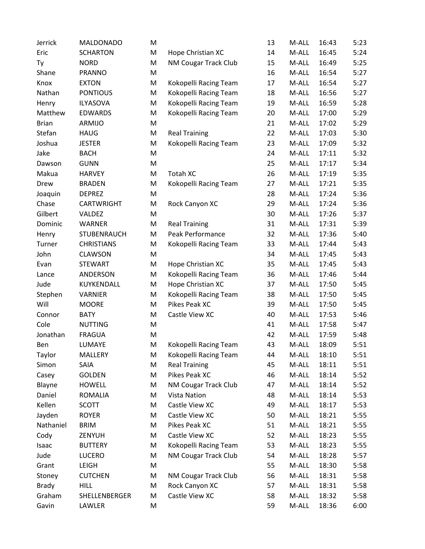| Jerrick      | <b>MALDONADO</b>  | M |                       | 13 | M-ALL | 16:43 | 5:23 |
|--------------|-------------------|---|-----------------------|----|-------|-------|------|
| Eric         | <b>SCHARTON</b>   | M | Hope Christian XC     | 14 | M-ALL | 16:45 | 5:24 |
| Ty           | <b>NORD</b>       | M | NM Cougar Track Club  | 15 | M-ALL | 16:49 | 5:25 |
| Shane        | <b>PRANNO</b>     | M |                       | 16 | M-ALL | 16:54 | 5:27 |
| Knox         | <b>EXTON</b>      | M | Kokopelli Racing Team | 17 | M-ALL | 16:54 | 5:27 |
| Nathan       | <b>PONTIOUS</b>   | M | Kokopelli Racing Team | 18 | M-ALL | 16:56 | 5:27 |
| Henry        | <b>ILYASOVA</b>   | M | Kokopelli Racing Team | 19 | M-ALL | 16:59 | 5:28 |
| Matthew      | <b>EDWARDS</b>    | M | Kokopelli Racing Team | 20 | M-ALL | 17:00 | 5:29 |
| <b>Brian</b> | <b>ARMIJO</b>     | M |                       | 21 | M-ALL | 17:02 | 5:29 |
| Stefan       | <b>HAUG</b>       | M | <b>Real Training</b>  | 22 | M-ALL | 17:03 | 5:30 |
| Joshua       | <b>JESTER</b>     | M | Kokopelli Racing Team | 23 | M-ALL | 17:09 | 5:32 |
| Jake         | <b>BACH</b>       | M |                       | 24 | M-ALL | 17:11 | 5:32 |
| Dawson       | <b>GUNN</b>       | M |                       | 25 | M-ALL | 17:17 | 5:34 |
| Makua        | <b>HARVEY</b>     | M | Totah XC              | 26 | M-ALL | 17:19 | 5:35 |
| Drew         | <b>BRADEN</b>     | M | Kokopelli Racing Team | 27 | M-ALL | 17:21 | 5:35 |
| Joaquin      | <b>DEPREZ</b>     | M |                       | 28 | M-ALL | 17:24 | 5:36 |
| Chase        | CARTWRIGHT        | M | Rock Canyon XC        | 29 | M-ALL | 17:24 | 5:36 |
| Gilbert      | VALDEZ            | M |                       | 30 | M-ALL | 17:26 | 5:37 |
| Dominic      | <b>WARNER</b>     | M | <b>Real Training</b>  | 31 | M-ALL | 17:31 | 5:39 |
| Henry        | STUBENRAUCH       | M | Peak Performance      | 32 | M-ALL | 17:36 | 5:40 |
| Turner       | <b>CHRISTIANS</b> | M | Kokopelli Racing Team | 33 | M-ALL | 17:44 | 5:43 |
| John         | <b>CLAWSON</b>    | M |                       | 34 | M-ALL | 17:45 | 5:43 |
| Evan         | <b>STEWART</b>    | M | Hope Christian XC     | 35 | M-ALL | 17:45 | 5:43 |
| Lance        | ANDERSON          | M | Kokopelli Racing Team | 36 | M-ALL | 17:46 | 5:44 |
| Jude         | KUYKENDALL        | M | Hope Christian XC     | 37 | M-ALL | 17:50 | 5:45 |
| Stephen      | VARNIER           | M | Kokopelli Racing Team | 38 | M-ALL | 17:50 | 5:45 |
| Will         | <b>MOORE</b>      | M | Pikes Peak XC         | 39 | M-ALL | 17:50 | 5:45 |
| Connor       | <b>BATY</b>       | M | Castle View XC        | 40 | M-ALL | 17:53 | 5:46 |
| Cole         | <b>NUTTING</b>    | M |                       | 41 | M-ALL | 17:58 | 5:47 |
| Jonathan     | <b>FRAGUA</b>     | M |                       | 42 | M-ALL | 17:59 | 5:48 |
| Ben          | LUMAYE            | M | Kokopelli Racing Team | 43 | M-ALL | 18:09 | 5:51 |
| Taylor       | MALLERY           | M | Kokopelli Racing Team | 44 | M-ALL | 18:10 | 5:51 |
| Simon        | SAIA              | M | <b>Real Training</b>  | 45 | M-ALL | 18:11 | 5:51 |
| Casey        | <b>GOLDEN</b>     | M | Pikes Peak XC         | 46 | M-ALL | 18:14 | 5:52 |
| Blayne       | <b>HOWELL</b>     | M | NM Cougar Track Club  | 47 | M-ALL | 18:14 | 5:52 |
| Daniel       | <b>ROMALIA</b>    | M | Vista Nation          | 48 | M-ALL | 18:14 | 5:53 |
| Kellen       | <b>SCOTT</b>      | M | Castle View XC        | 49 | M-ALL | 18:17 | 5:53 |
| Jayden       | <b>ROYER</b>      | M | Castle View XC        | 50 | M-ALL | 18:21 | 5:55 |
| Nathaniel    | <b>BRIM</b>       | M | Pikes Peak XC         | 51 | M-ALL | 18:21 | 5:55 |
| Cody         | ZENYUH            | M | Castle View XC        | 52 | M-ALL | 18:23 | 5:55 |
| Isaac        | <b>BUTTERY</b>    | M | Kokopelli Racing Team | 53 | M-ALL | 18:23 | 5:55 |
| Jude         | <b>LUCERO</b>     | M | NM Cougar Track Club  | 54 | M-ALL | 18:28 | 5:57 |
| Grant        | <b>LEIGH</b>      | M |                       | 55 | M-ALL | 18:30 | 5:58 |
| Stoney       | <b>CUTCHEN</b>    | M | NM Cougar Track Club  | 56 | M-ALL | 18:31 | 5:58 |
| <b>Brady</b> | <b>HILL</b>       | M | Rock Canyon XC        | 57 | M-ALL | 18:31 | 5:58 |
| Graham       | SHELLENBERGER     | M | Castle View XC        | 58 | M-ALL | 18:32 | 5:58 |
| Gavin        | LAWLER            | M |                       | 59 | M-ALL | 18:36 | 6:00 |